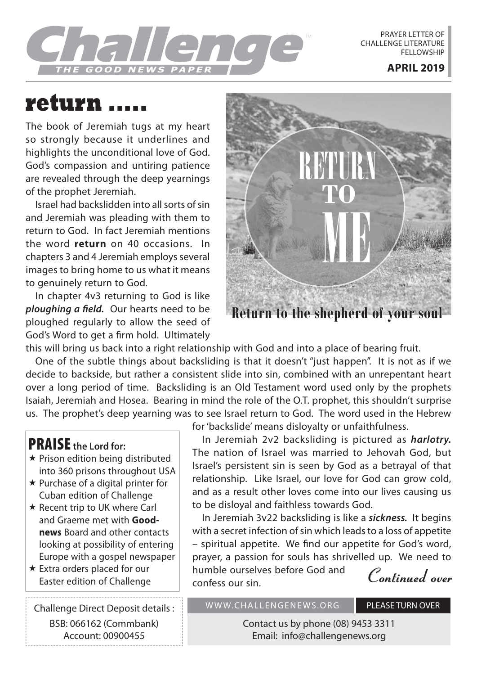

PRAYER LETTER OF CHALLENGE LITERATURE **FELLOWSHIP** 

# **return .....**

The book of Jeremiah tugs at my heart so strongly because it underlines and highlights the unconditional love of God. God's compassion and untiring patience are revealed through the deep yearnings of the prophet Jeremiah.

Israel had backslidden into all sorts of sin and Jeremiah was pleading with them to return to God. In fact Jeremiah mentions the word **return** on 40 occasions. In chapters 3 and 4 Jeremiah employs several images to bring home to us what it means to genuinely return to God.

In chapter 4v3 returning to God is like *ploughing a field.* Our hearts need to be ploughed regularly to allow the seed of God's Word to get a firm hold. Ultimately



**Return to the shepherd of your soul**

this will bring us back into a right relationship with God and into a place of bearing fruit.

One of the subtle things about backsliding is that it doesn't "just happen". It is not as if we decide to backside, but rather a consistent slide into sin, combined with an unrepentant heart over a long period of time. Backsliding is an Old Testament word used only by the prophets Isaiah, Jeremiah and Hosea. Bearing in mind the role of the O.T. prophet, this shouldn't surprise us. The prophet's deep yearning was to see Israel return to God. The word used in the Hebrew

### PRAISE **the Lord for:**

- $\star$  Prison edition being distributed into 360 prisons throughout USA
- $\star$  Purchase of a digital printer for Cuban edition of Challenge
- $\star$  Recent trip to UK where Carl and Graeme met with **Goodnews** Board and other contacts looking at possibility of entering Europe with a gospel newspaper
- Extra orders placed for our Extra orders placed for our **continuity** numble ourselves before God and **Continued over**<br>Easter edition of Challenge **Continued** confess our sin

Challenge Direct Deposit details : BSB: 066162 (Commbank) Account: 00900455

for 'backslide' means disloyalty or unfaithfulness.

In Jeremiah 2v2 backsliding is pictured as *harlotry.* The nation of Israel was married to Jehovah God, but Israel's persistent sin is seen by God as a betrayal of that relationship. Like Israel, our love for God can grow cold, and as a result other loves come into our lives causing us to be disloyal and faithless towards God.

In Jeremiah 3v22 backsliding is like a *sickness.* It begins with a secret infection of sin which leads to a loss of appetite – spiritual appetite. We find our appetite for God's word, prayer, a passion for souls has shrivelled up. We need to humble ourselves before God and

confess our sin.

WWW.CHALLENGENEWS.ORG PLEASE TURN OVER

Contact us by phone (08) 9453 3311 Email: info@challengenews.org